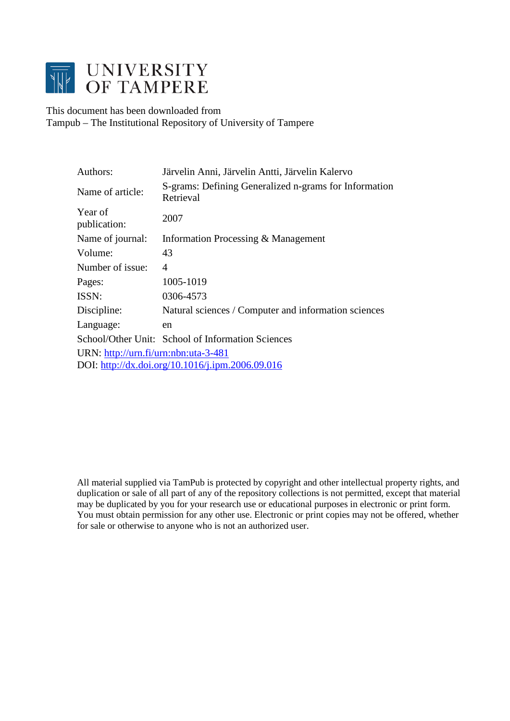![](_page_0_Picture_0.jpeg)

This document has been downloaded from Tampub – The Institutional Repository of University of Tampere

| Authors:                             | Järvelin Anni, Järvelin Antti, Järvelin Kalervo                    |  |  |
|--------------------------------------|--------------------------------------------------------------------|--|--|
| Name of article:                     | S-grams: Defining Generalized n-grams for Information<br>Retrieval |  |  |
| Year of<br>publication:              | 2007                                                               |  |  |
| Name of journal:                     | Information Processing & Management                                |  |  |
| Volume:                              | 43                                                                 |  |  |
| Number of issue:                     | $\overline{4}$                                                     |  |  |
| Pages:                               | 1005-1019                                                          |  |  |
| ISSN:                                | 0306-4573                                                          |  |  |
| Discipline:                          | Natural sciences / Computer and information sciences               |  |  |
| Language:                            | en                                                                 |  |  |
|                                      | School/Other Unit: School of Information Sciences                  |  |  |
| URN: http://urn.fi/urn:nbn:uta-3-481 |                                                                    |  |  |
|                                      | DOI: http://dx.doi.org/10.1016/j.ipm.2006.09.016                   |  |  |

All material supplied via TamPub is protected by copyright and other intellectual property rights, and duplication or sale of all part of any of the repository collections is not permitted, except that material may be duplicated by you for your research use or educational purposes in electronic or print form. You must obtain permission for any other use. Electronic or print copies may not be offered, whether for sale or otherwise to anyone who is not an authorized user.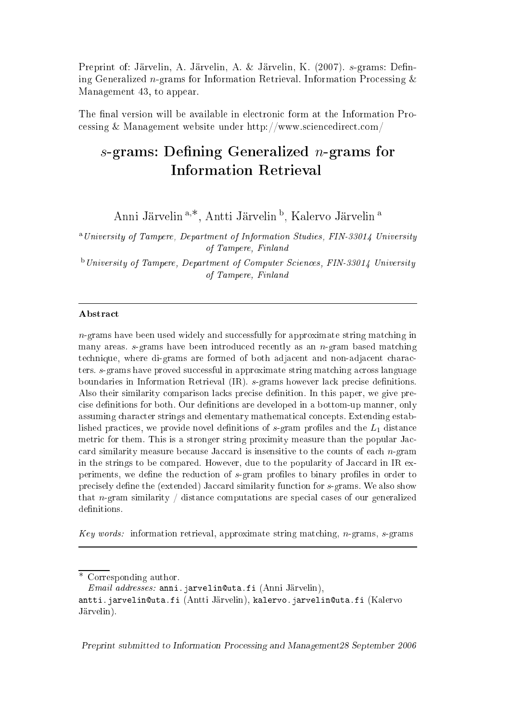Preprint of: Järvelin, A. Järvelin, A. & Järvelin, K. (2007). s-grams: Defining Generalized  $n$ -grams for Information Retrieval. Information Processing  $\&$ Management 43, to appear.

The final version will be available in electronic form at the Information Proessing & Management website under http://www.s
ien
edire
t.
om/

# $s$ -grams: Defining Generalized *n*-grams for

Anni Järvelin<sup>a,∗</sup>, Antti Järvelin<sup>b</sup>, Kalervo Järvelin<sup>a</sup>

<sup>a</sup>University of Tampere, Department of Information Studies, FIN-33014 University of Tampere, Finland

 $^{\rm b}$ University of Tampere, Department of Computer Sciences, FIN-33014 University of Tampere, Finland

# **Abstract**

 $n$ -grams have been used widely and successfully for approximate string matching in many areas.  $s$ -grams have been introduced recently as an  $n$ -gram based matching technique, where di-grams are formed of both adjacent and non-adjacent characters. s-grams have proved successful in approximate string matching across language boundaries in Information Retrieval  $(IR)$ .  $s$ -grams however lack precise definitions. Also their similarity comparison lacks precise definition. In this paper, we give precise definitions for both. Our definitions are developed in a bottom-up manner, only assuming character strings and elementary mathematical concepts. Extending established practices, we provide novel definitions of s-gram profiles and the  $L_1$  distance metric for them. This is a stronger string proximity measure than the popular Jaccard similarity measure because Jaccard is insensitive to the counts of each  $n$ -gram in the strings to be compared. However, due to the popularity of Jaccard in IR experiments, we define the reduction of s-gram profiles to binary profiles in order to precisely define the (extended) Jaccard similarity function for s-grams. We also show that  $n$ -gram similarity  $\frac{1}{n}$  distance computations are special cases of our generalized definitions.

Key words: information retrieval, approximate string matching, n-grams, s-grams

Preprint submitted to Information Pro
essing and Management28 September <sup>2006</sup>

<sup>∗</sup> Corresponding author.

 $Email \ addresses:$  anni.jarvelin@uta.fi (Anni Järvelin),

antti.jarvelin@uta.fi (Antti Järvelin), kalervo.jarvelin@uta.fi (Kalervo Järvelin).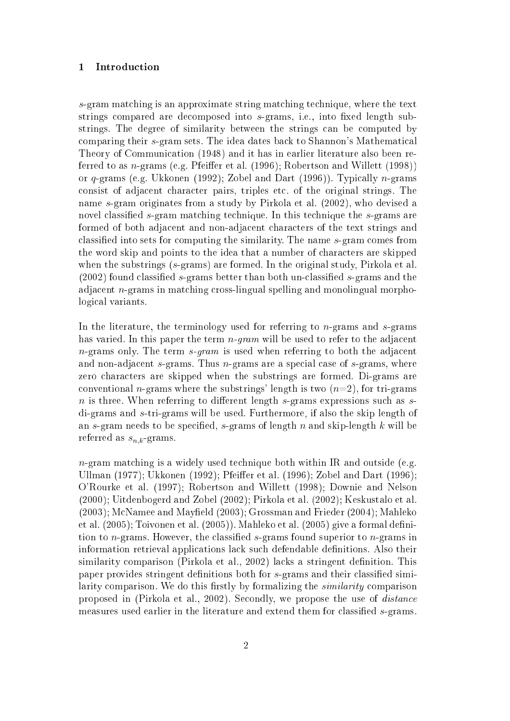## 1 Introdu
tion

s-gram matching is an approximate string matching technique, where the text strings compared are decomposed into s-grams, i.e., into fixed length substrings. The degree of similarity between the strings an be omputed by comparing their s-gram sets. The idea dates back to Shannon's Mathematical Theory of Communi
ation (1948) and it has in earlier literature also been referred to as *n*-grams (e.g. Pfeiffer et al. (1996); Robertson and Willett (1998)) or  $q$ -grams (e.g. Ukkonen (1992); Zobel and Dart (1996)). Typically  $n$ -grams consist of adjacent character pairs, triples etc. of the original strings. The name s-gram originates from a study by Pirkola et al. (2002), who devised a novel classified s-gram matching technique. In this technique the s-grams are formed of both adja
ent and non-adja
ent hara
ters of the text strings and classified into sets for computing the similarity. The name s-gram comes from the word skip and points to the idea that a number of hara
ters are skipped when the substrings (s-grams) are formed. In the original study, Pirkola et al.  $(2002)$  found classified s-grams better than both un-classified s-grams and the adjacent *n*-grams in matching cross-lingual spelling and monolingual morphologi
al variants.

In the literature, the terminology used for referring to  $n$ -grams and  $s$ -grams has varied. In this paper the term  $n$ -gram will be used to refer to the adjacent  $n$ -grams only. The term  $s$ -gram is used when referring to both the adjacent and non-adjacent s-grams. Thus  $n$ -grams are a special case of s-grams, where zero characters are skipped when the substrings are formed. Di-grams are conventional *n*-grams where the substrings' length is two  $(n=2)$ , for tri-grams  $n$  is three. When referring to different length s-grams expressions such as sdi-grams and s-tri-grams will be used. Furthermore, if also the skip length of an s-gram needs to be specified, s-grams of length  $n$  and skip-length  $k$  will be referred as  $s_{n,k}$ -grams.

n-gram matching is a widely used technique both within IR and outside (e.g. Ullman (1977); Ukkonen (1992); Pfeiffer et al. (1996); Zobel and Dart (1996); O'Rourke et al. (1997); Robertson and Willett (1998); Downie and Nelson (2000); Uitdenbogerd and Zobel (2002); Pirkola et al. (2002); Keskustalo et al. (2003); McNamee and Mayfield (2003); Grossman and Frieder (2004); Mahleko et al.  $(2005)$ ; Toivonen et al.  $(2005)$ ). Mahleko et al.  $(2005)$  give a formal definition to *n*-grams. However, the classified  $s$ -grams found superior to *n*-grams in information retrieval appli
ations la
k su
h defendable denitions. Also their similarity comparison (Pirkola et al., 2002) lacks a stringent definition. This paper provides stringent definitions both for s-grams and their classified similarity comparison. We do this firstly by formalizing the *similarity* comparison proposed in (Pirkola et al., 2002). Secondly, we propose the use of *distance* measures used earlier in the literature and extend them for classified s-grams.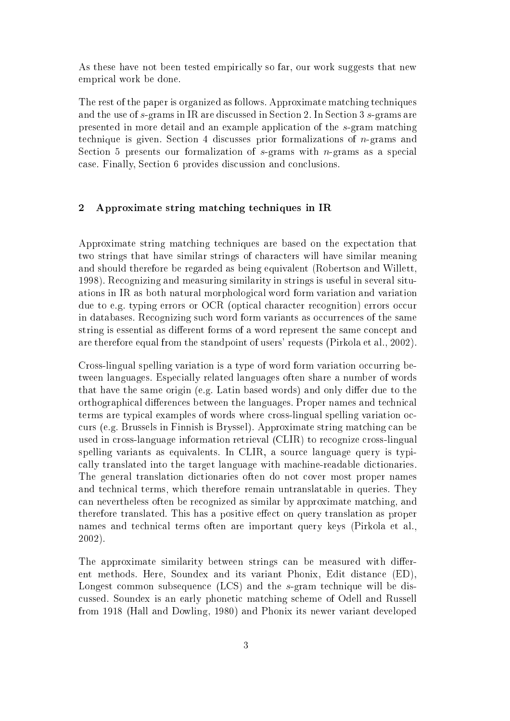As these have not been tested empirically so far, our work suggests that new empri
al work be done.

The rest of the paper is organized as follows. Approximate mat
hing te
hniques and the use of s-grams in IR are discussed in Section 2. In Section 3 s-grams are presented in more detail and an example appli
ation of the s-gram mat
hing technique is given. Section 4 discusses prior formalizations of *n*-grams and Section 5 presents our formalization of  $s$ -grams with  $n$ -grams as a special ase. Finally, Se
tion 6 provides dis
ussion and on
lusions.

## 2 Approximate string matching techniques in IR

Approximate string matching techniques are based on the expectation that two strings that have similar strings of characters will have similar meaning and should therefore be regarded as being equivalent (Robertson and Willett, 1998). Re
ognizing and measuring similarity in strings is useful in several situations in IR as both natural morphologi
al word form variation and variation due to e.g. typing errors or OCR (optical character recognition) errors occur in databases. Recognizing such word form variants as occurrences of the same string is essential as different forms of a word represent the same concept and are therefore equal from the standpoint of users' requests (Pirkola et al., 2002).

Cross-lingual spelling variation is a type of word form variation occurring between languages. Espe
ially related languages often share a number of words that have the same origin (e.g. Latin based words) and only differ due to the orthographical differences between the languages. Proper names and technical terms are typical examples of words where cross-lingual spelling variation ocurs (e.g. Brussels in Finnish is Bryssel). Approximate string mat
hing an be used in cross-language information retrieval (CLIR) to recognize cross-lingual spelling variants as equivalents. In CLIR, a source language query is typially translated into the target language with ma
hine-readable di
tionaries. The general translation di
tionaries often do not over most proper names and technical terms, which therefore remain untranslatable in queries. They an nevertheless often be re
ognized as similar by approximate mat
hing, and therefore translated. This has a positive effect on query translation as proper names and te
hni
al terms often are important query keys (Pirkola et al., 2002).

The approximate similarity between strings can be measured with different methods. Here, Soundex and its variant Phonix, Edit distan
e (ED), Longest common subsequence (LCS) and the s-gram technique will be disussed. Soundex is an early phoneti mat
hing s
heme of Odell and Russell from 1918 (Hall and Dowling, 1980) and Phonix its newer variant developed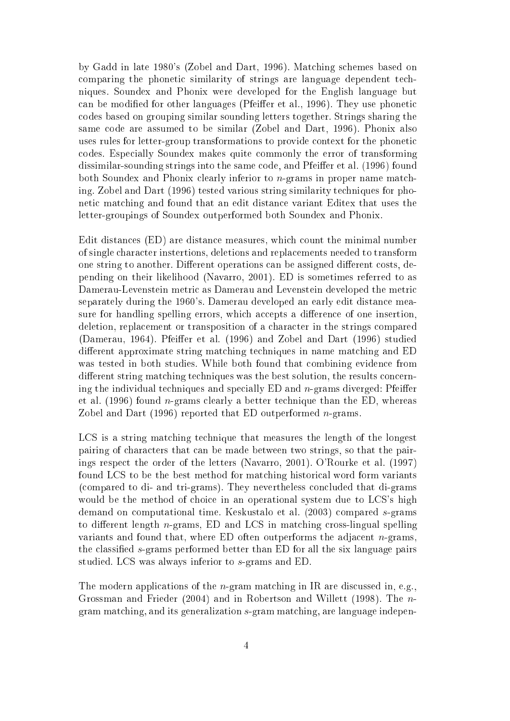by Gadd in late 1980's (Zobel and Dart, 1996). Mat
hing s
hemes based on comparing the phonetic similarity of strings are language dependent techniques. Soundex and Phonix were developed for the English language but can be modified for other languages (Pfeiffer et al., 1996). They use phonetic odes based on grouping similar sounding letters together. Strings sharing the same ode are assumed to be similar (Zobel and Dart, 1996). Phonix also uses rules for letter-group transformations to provide ontext for the phoneti odes. Espe
ially Soundex makes quite ommonly the error of transforming dissimilar-sounding strings into the same code, and Pfeiffer et al. (1996) found both Soundex and Phonix clearly inferior to *n*-grams in proper name matching. Zobel and Dart (1996) tested various string similarity techniques for phoneti mat
hing and found that an edit distan
e variant Editex that uses the letter-groupings of Soundex outperformed both Soundex and Phonix.

Edit distan
es (ED) are distan
e measures, whi
h ount the minimal number of single hara
ter instertions, deletions and repla
ements needed to transform one string to another. Different operations can be assigned different costs, depending on their likelihood (Navarro, 2001). ED is sometimes referred to as Damerau-Levenstein metric as Damerau and Levenstein developed the metric separately during the 1960's. Damerau developed an early edit distan
e measure for handling spelling errors, which accepts a difference of one insertion, deletion, repla
ement or transposition of a hara
ter in the strings ompared (Damerau, 1964). Pfeiffer et al. (1996) and Zobel and Dart (1996) studied different approximate string matching techniques in name matching and ED was tested in both studies. While both found that ombining eviden
e from different string matching techniques was the best solution, the results concerning the individual techniques and specially  $ED$  and  $n$ -grams diverged: Pfeiffer et al. (1996) found n-grams learly a better te
hnique than the ED, whereas Zobel and Dart  $(1996)$  reported that ED outperformed *n*-grams.

LCS is a string matching technique that measures the length of the longest pairing of characters that can be made between two strings, so that the pairings respe
t the order of the letters (Navarro, 2001). O'Rourke et al. (1997) found LCS to be the best method for matching historical word form variants (
ompared to di- and tri-grams). They nevertheless on
luded that di-grams would be the method of choice in an operational system due to LCS's high demand on omputational time. Keskustalo et al. (2003) ompared s-grams to different length  $n$ -grams, ED and LCS in matching cross-lingual spelling variants and found that, where ED often outperforms the adjacent  $n$ -grams, the classified s-grams performed better than ED for all the six language pairs studied. LCS was always inferior to s-grams and ED.

The modern applications of the *n*-gram matching in IR are discussed in, e.g., Grossman and Frieder (2004) and in Robertson and Willett (1998). The ngram mat
hing, and its generalization s-gram mat
hing, are language indepen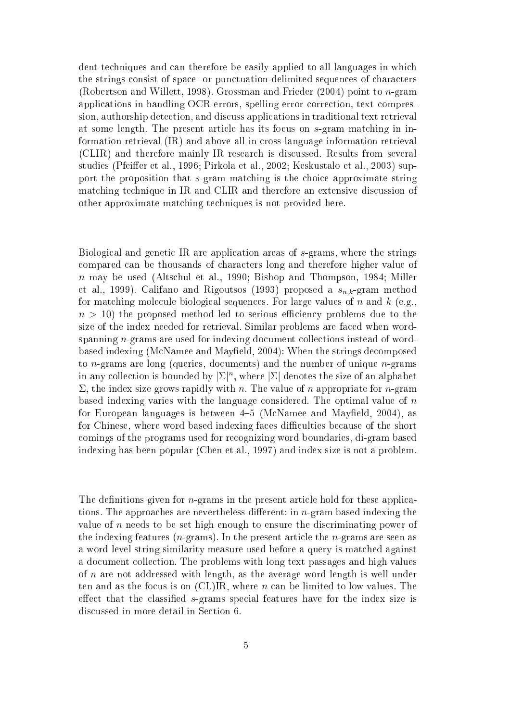dent techniques and can therefore be easily applied to all languages in which the strings consist of space- or punctuation-delimited sequences of characters (Robertson and Willett, 1998). Grossman and Frieder  $(2004)$  point to *n*-gram appli
ations in handling OCR errors, spelling error orre
tion, text ompression, authorship detection, and discuss applications in traditional text retrieval at some length. The present article has its focus on s-gram matching in information retrieval (IR) and above all in ross-language information retrieval (CLIR) and therefore mainly IR resear
h is dis
ussed. Results from several studies (Pfeiffer et al., 1996; Pirkola et al., 2002; Keskustalo et al., 2003) support the proposition that s-gram matching is the choice approximate string mat
hing te
hnique in IR and CLIR and therefore an extensive dis
ussion of other approximate mat
hing te
hniques is not provided here.

Biological and genetic IR are application areas of s-grams, where the strings ompared an be thousands of hara
ters long and therefore higher value of n may be used (Altschul et al., 1990; Bishop and Thompson, 1984; Miller et al., 1999). Califano and Rigoutsos (1993) proposed a  $s_{n,k}$ -gram method for matching molecule biological sequences. For large values of n and k (e.g.,  $n > 10$ ) the proposed method led to serious efficiency problems due to the size of the index needed for retrieval. Similar problems are fa
ed when wordspanning *n*-grams are used for indexing document collections instead of wordbased indexing (McNamee and Mayfield, 2004): When the strings decomposed to *n*-grams are long (queries, documents) and the number of unique *n*-grams in any collection is bounded by  $|\Sigma|^n$ , where  $|\Sigma|$  denotes the size of an alphabet  $\Sigma$ , the index size grows rapidly with *n*. The value of *n* appropriate for *n*-gram based indexing varies with the language considered. The optimal value of  $n$ for European languages is between  $4-5$  (McNamee and Mayfield, 2004), as for Chinese, where word based indexing faces difficulties because of the short omings of the programs used for re
ognizing word boundaries, di-gram based indexing has been popular (Chen et al., 1997) and index size is not a problem.

The definitions given for  $n$ -grams in the present article hold for these applications. The approaches are nevertheless different: in  $n$ -gram based indexing the value of  $n$  needs to be set high enough to ensure the discriminating power of the indexing features  $(n$ -grams). In the present article the *n*-grams are seen as a word level string similarity measure used before a query is mat
hed against a do
ument olle
tion. The problems with long text passages and high values of n are not addressed with length, as the average word length is well under ten and as the focus is on  $(CL)IR$ , where *n* can be limited to low values. The effect that the classified s-grams special features have for the index size is dis
ussed in more detail in Se
tion 6.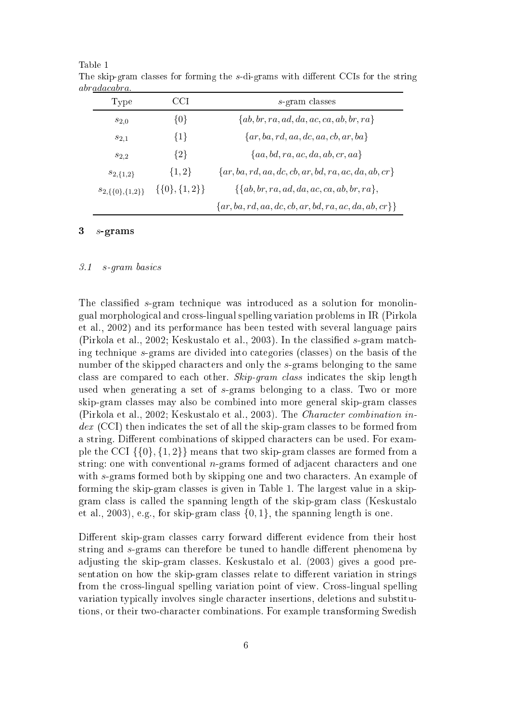| Type                      | CCI                  | $s$ -gram classes                                          |
|---------------------------|----------------------|------------------------------------------------------------|
| $s_{2,0}$                 | $\{0\}$              | $\{ab, br, ra, ad, da, ac, ca, ab, br, ra\}$               |
| $s_{2,1}$                 | ${1}$                | $\{ar, ba, rd, aa, dc, aa, cb, ar, ba\}$                   |
| $s_{2,2}$                 | ${2}$                | ${aa, bd, ra, ac, da, ab, cr, aa}$                         |
| $s_{2,\{1,2\}}$           | $\{1,2\}$            | $\{ar, ba, rd, aa, dc, cb, ar, bd, ra, ac, da, ab, cr\}$   |
| $s_{2,\{\{0\},\{1,2\}\}}$ | $\{\{0\},\{1,2\}\}\$ | $\{\{ab, br, ra, ad, da, ac, ca, ab, br, ra\},\$           |
|                           |                      | $\{ar, ba, rd, aa, dc, cb, ar, bd, ra, ac, da, ab, cr\}\}$ |

Table 1 The skip-gram classes for forming the s-di-grams with different CCIs for the string abradacabra.

## $3$  s-grams

#### 3.1s-gram basi
s

The classified s-gram technique was introduced as a solution for monolingual morphologi
al and ross-lingual spelling variation problems in IR (Pirkola et al., 2002) and its performan
e has been tested with several language pairs (Pirkola et al., 2002; Keskustalo et al., 2003). In the classified s-gram matching te
hnique s-grams are divided into ategories (
lasses) on the basis of the number of the skipped characters and only the s-grams belonging to the same class are compared to each other. Skip-gram class indicates the skip length used when generating a set of s-grams belonging to a class. Two or more skip-gram lasses may also be ombined into more general skip-gram lasses (Pirkola et al., 2002; Keskustalo et al., 2003). The *Character combination in*dex (CC) the set of all the set of all the set of all the set of all the set of all the set of all the set of a string. Different combinations of skipped characters can be used. For example the CCI  $\{\{0\},\{1,2\}\}\$  means that two skip-gram classes are formed from a string: one with conventional  $n$ -grams formed of adjacent characters and one with s-grams formed both by skipping one and two characters. An example of forming the skip-gram lasses is given in Table 1. The largest value in a skipgram lass is alled the spanning length of the skip-gram lass (Keskustalo et al., 2003), e.g., for skip-gram class  $\{0, 1\}$ , the spanning length is one.

Different skip-gram classes carry forward different evidence from their host string and s-grams can therefore be tuned to handle different phenomena by adjusting the skip-gram lasses. Keskustalo et al. (2003) gives a good presentation on how the skip-gram classes relate to different variation in strings from the ross-lingual spelling variation point of view. Cross-lingual spelling variation typi
ally involves single hara
ter insertions, deletions and substitutions, or their twohara
ter ombinations. For example transforming Swedish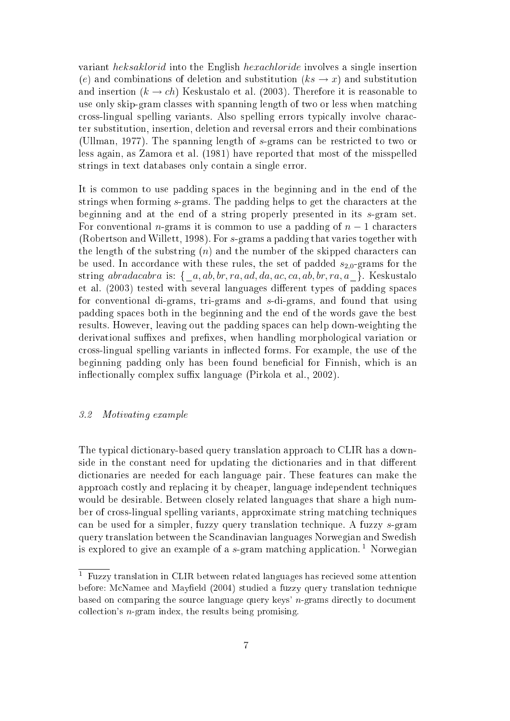variant heksaklorid into the English hexachloride involves a single insertion (e) and combinations of deletion and substitution  $(ks \rightarrow x)$  and substitution and insertion  $(k \to ch)$  Keskustalo et al. (2003). Therefore it is reasonable to use only skip-gram lasses with spanning length of two or less when mat
hing ross-lingual spelling variants. Also spelling errors typi
ally involve hara
 ter substitution, insertion, deletion and reversal errors and their ombinations (Ullman, 1977). The spanning length of s-grams an be restri
ted to two or less again, as Zamora et al. (1981) have reported that most of the misspelled strings in text databases only ontain a single error.

It is ommon to use padding spa
es in the beginning and in the end of the strings when forming s-grams. The padding helps to get the characters at the beginning and at the end of a string properly presented in its s-gram set. For conventional *n*-grams it is common to use a padding of  $n-1$  characters (Robertson and Willett, 1998). For s-grams <sup>a</sup> padding that varies together with the length of the substring  $(n)$  and the number of the skipped characters can be used. In accordance with these rules, the set of padded  $s_{2,0}$ -grams for the string abradacabra is:  $\{-a, ab, br, ra, ad, da, ac, ca, ab, br, ra, a_{\perp}\}.$  Keskustalo et al. (2003) tested with several languages different types of padding spaces for onventional di-grams, tri-grams and s-di-grams, and found that using padding spa
es both in the beginning and the end of the words gave the best results. However, leaving out the padding spa
es an help down-weighting the derivational suffixes and prefixes, when handling morphological variation or cross-lingual spelling variants in inflected forms. For example, the use of the beginning padding only has been found beneficial for Finnish, which is an inflectionally complex suffix language (Pirkola et al., 2002).

#### 3.2Motivating example

The typical dictionary-based query translation approach to CLIR has a downside in the constant need for updating the dictionaries and in that different dictionaries are needed for each language pair. These features can make the approa
h ostly and repla
ing it by heaper, language independent te
hniques would be desirable. Between closely related languages that share a high number of cross-lingual spelling variants, approximate string matching techniques an be used for <sup>a</sup> simpler, fuzzy query translation te
hnique. <sup>A</sup> fuzzy s-gram query translation between the S
andinavian languages Norwegian and Swedish is explored to give an example of a s-gram matching application.<sup>1</sup> Norwegian

<sup>&</sup>lt;sup>1</sup> Fuzzy translation in CLIR between related languages has recieved some attention before: McNamee and Mayfield (2004) studied a fuzzy query translation technique based on omparing the sour
e language query keys' n-grams dire
tly to do
ument olle
tion's n-gram index, the results being promising.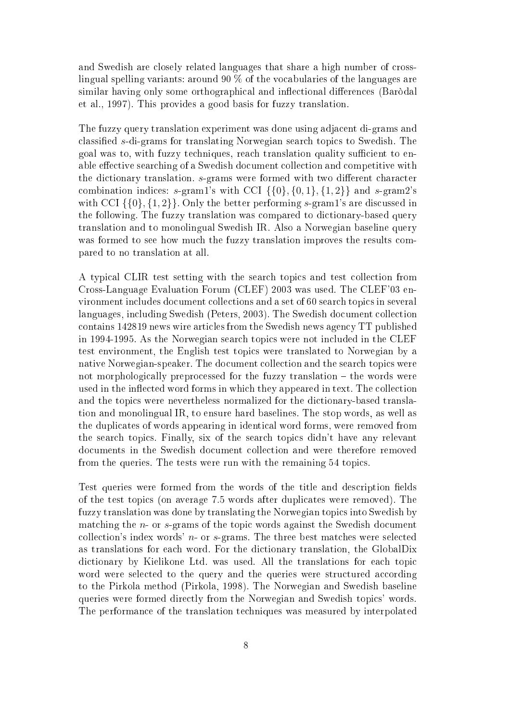and Swedish are closely related languages that share a high number of crosslingual spelling variants: around 90 % of the vo
abularies of the languages are similar having only some orthographical and inflectional differences (Baròdal et al., 1997). This provides a good basis for fuzzy translation.

The fuzzy query translation experiment was done using adja
ent di-grams and classified s-di-grams for translating Norwegian search topics to Swedish. The goal was to, with fuzzy techniques, reach translation quality sufficient to enable effective searching of a Swedish document collection and competitive with the dictionary translation. s-grams were formed with two different character combination indices:  $s$ -gram1's with CCI  $\{\{0\},\{0,1\},\{1,2\}\}\$  and  $s$ -gram2's with CCI  $\{\{0\},\{1,2\}\}\$ . Only the better performing s-gram1's are discussed in the following. The fuzzy translation was compared to dictionary-based query translation and to monolingual Swedish IR. Also a Norwegian baseline query was formed to see how much the fuzzy translation improves the results compared to no translation at all.

A typical CLIR test setting with the search topics and test collection from Cross-Language Evaluation Forum (CLEF) 2003 was used. The CLEF'03 environment includes document collections and a set of 60 search topics in several languages, including Swedish (Peters, 2003). The Swedish document collection ontains 142819 news wire arti
les from the Swedish news agen
y TT published in 1994-1995. As the Norwegian sear
h topi
s were not in
luded in the CLEF test environment, the English test topi
s were translated to Norwegian by a native Norwegian-speaker. The document collection and the search topics were not morphologically preprocessed for the fuzzy translation – the words were used in the inflected word forms in which they appeared in text. The collection and the topi
s were nevertheless normalized for the di
tionary-based translation and monolingual IR, to ensure hard baselines. The stop words, as well as the dupli
ates of words appearing in identi
al word forms, were removed from the sear
h topi
s. Finally, six of the sear
h topi
s didn't have any relevant documents in the Swedish document collection and were therefore removed from the queries. The tests were run with the remaining 54 topi
s.

Test queries were formed from the words of the title and description fields of the test topi
s (on average 7.5 words after dupli
ates were removed). The fuzzy translation was done by translating the Norwegian topi
s into Swedish by matching the *n*- or *s*-grams of the topic words against the Swedish document collection's index words'  $n$ - or  $s$ -grams. The three best matches were selected as translations for ea
h word. For the di
tionary translation, the GlobalDix dictionary by Kielikone Ltd. was used. All the translations for each topic word were selected to the query and the queries were structured according to the Pirkola method (Pirkola, 1998). The Norwegian and Swedish baseline queries were formed directly from the Norwegian and Swedish topics' words. The performan
e of the translation te
hniques was measured by interpolated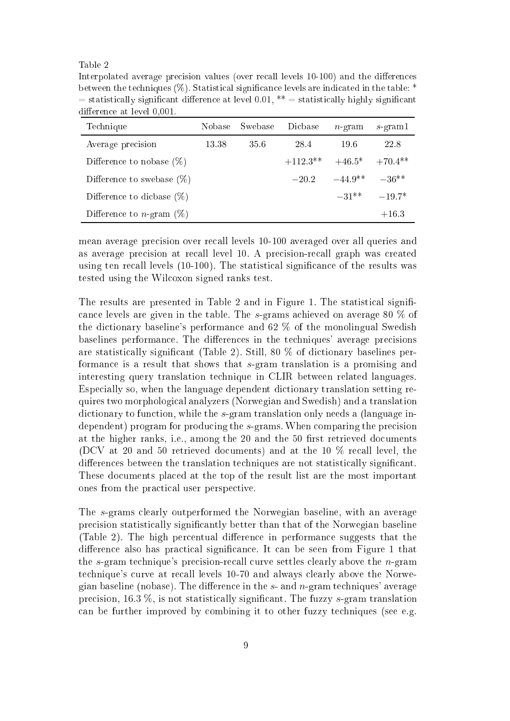### Table 2

Interpolated average precision values (over recall levels 10-100) and the differences between the techniques (%). Statistical significance levels are indicated in the table:  $=$  statistically significant difference at level 0.01, \*\*  $=$  statistically highly significant difference at level 0.001.

| Technique                           | Nobase - | Swebase | Dicbase    | $n$ -gram                                 | $s$ -gram1       |
|-------------------------------------|----------|---------|------------|-------------------------------------------|------------------|
| Average precision                   | 13.38    | 35.6    | 28.4       | 19.6                                      | 22.8             |
| Difference to nobase $(\%)$         |          |         | $+112.3**$ | $+46.5^*$ $+70.4^{**}$                    |                  |
| Difference to swebase $(\%)$        |          |         | $-20.2$    | $-44.9$ <sup>**</sup> $-36$ <sup>**</sup> |                  |
| Difference to dicbase $(\%)$        |          |         |            |                                           | $-31**$ $-19.7*$ |
| Difference to <i>n</i> -gram $(\%)$ |          |         |            |                                           | $+16.3$          |

mean average pre
ision over re
all levels 10-100 averaged over all queries and as average precision at recall level 10. A precision-recall graph was created using ten recall levels (10-100). The statistical significance of the results was tested using the Wil
oxon signed ranks test.

The results are presented in Table 2 and in Figure 1. The statistical signifian
e levels are given in the table. The s-grams a
hieved on average <sup>80</sup> % of the di
tionary baseline's performan
e and 62 % of the monolingual Swedish baselines performance. The differences in the techniques' average precisions are statisti
ally signi
ant (Table 2). Still, 80 % of di
tionary baselines performan
e is <sup>a</sup> result that shows that s-gram translation is a promising and interesting query translation te
hnique in CLIR between related languages. Espe
ially so, when the language dependent di
tionary translation setting requires two morphologi
al analyzers (Norwegian and Swedish) and a translation dictionary to function, while the s-gram translation only needs a (language independent) program for producing the s-grams. When comparing the precision at the higher ranks, i.e., among the 20 and the 50 first retrieved documents (DCV at 20 and 50 retrieved do
uments) and at the 10 % re
all level, the differences between the translation techniques are not statistically significant. These documents placed at the top of the result list are the most important ones from the practical user perspective.

The s-grams learly outperformed the Norwegian baseline, with an average pre
ision statisti
ally signi
antly better than that of the Norwegian baseline (Table 2). The high percentual difference in performance suggests that the difference also has practical significance. It can be seen from Figure 1 that the s-gram technique's precision-recall curve settles clearly above the n-gram te
hnique's urve at re
all levels 10-70 and always learly above the Norwegian baseline (nobase). The difference in the  $s$ - and  $n$ -gram techniques' average precision,  $16.3\%$ , is not statistically significant. The fuzzy s-gram translation an be further improved by ombining it to other fuzzy te
hniques (see e.g.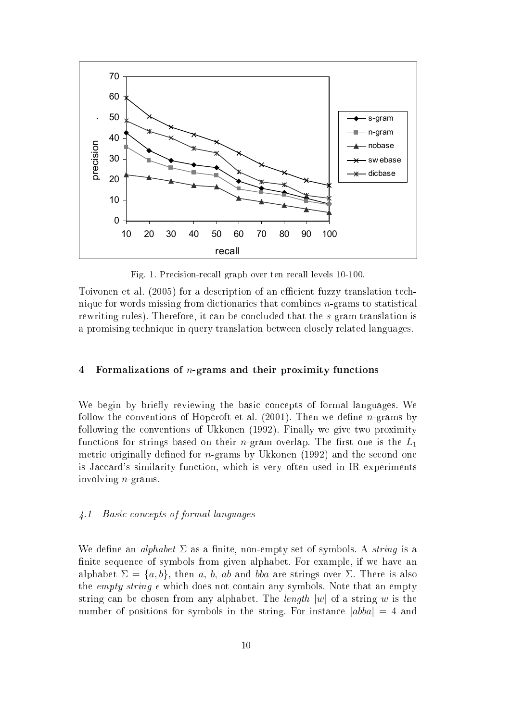![](_page_10_Figure_0.jpeg)

Fig. 1. Pre
ision-re
all graph over ten re
all levels 10-100.

Toivonen et al. (2005) for a description of an efficient fuzzy translation technique for words missing from dictionaries that combines *n*-grams to statistical rewriting rules). Therefore, it can be concluded that the s-gram translation is a promising te
hnique in query translation between losely related languages.

## 4 Formalizations of  $n$ -grams and their proximity functions

We begin by briefly reviewing the basic concepts of formal languages. We follow the conventions of Hopcroft et al.  $(2001)$ . Then we define *n*-grams by following the onventions of Ukkonen (1992). Finally we give two proximity functions for strings based on their *n*-gram overlap. The first one is the  $L_1$ metric originally defined for  $n$ -grams by Ukkonen (1992) and the second one is Jaccard's similarity function, which is very often used in IR experiments involving n-grams.

#### 4.1Basic concepts of formal languages

We define an *alphabet*  $\Sigma$  as a finite, non-empty set of symbols. A *string* is a finite sequence of symbols from given alphabet. For example, if we have an alphabet  $\Sigma = \{a, b\}$ , then a, b, ab and bba are strings over  $\Sigma$ . There is also the *empty string*  $\epsilon$  which does not contain any symbols. Note that an empty string can be chosen from any alphabet. The length  $|w|$  of a string w is the number of positions for symbols in the string. For instance  $|abba| = 4$  and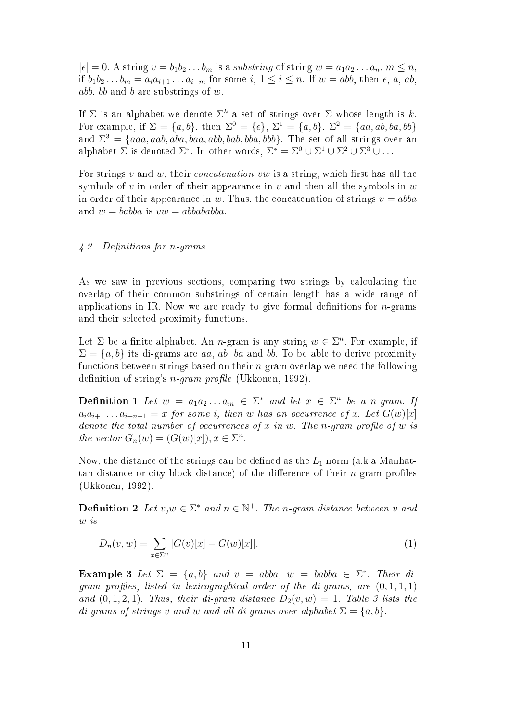$|\epsilon| = 0$ . A string  $v = b_1 b_2 \dots b_m$  is a substring of string  $w = a_1 a_2 \dots a_n$ ,  $m \leq n$ , if  $b_1b_2...b_m = a_ia_{i+1}...a_{i+m}$  for some  $i, 1 \leq i \leq n$ . If  $w = abb$ , then  $\epsilon, a, ab$ , abb, b and b are substrings of  $w$ .

If  $\Sigma$  is an alphabet we denote  $\Sigma^k$  a set of strings over  $\Sigma$  whose length is k. For example, if  $\Sigma = \{a, b\}$ , then  $\Sigma^0 = \{\epsilon\}$ ,  $\Sigma^1 = \{a, b\}$ ,  $\Sigma^2 = \{aa, ab, ba, bb\}$ and  $\Sigma^3 = \{aaa, aab, aba, baa, abb, bab, bba, bbb\}$ . The set of all strings over an alphabet  $\Sigma$  is denoted  $\Sigma^*$ . In other words,  $\Sigma^* = \Sigma^0 \cup \Sigma^1 \cup \Sigma^2 \cup \Sigma^3 \cup \ldots$ 

For strings  $v$  and  $w$ , their *concatenation*  $vw$  is a string, which first has all the symbols of v in order of their appearance in v and then all the symbols in  $w$ in order of their appearance in w. Thus, the concatenation of strings  $v = abba$ and  $w = babba$  is  $vw = abbababba$ .

#### 4.2Definitions for  $n$ -grams

As we saw in previous sections, comparing two strings by calculating the overlap of their ommon substrings of ertain length has a wide range of applications in IR. Now we are ready to give formal definitions for  $n$ -grams and their selected proximity functions.

Let  $\Sigma$  be a finite alphabet. An *n*-gram is any string  $w \in \Sigma^n$ . For example, if  $\Sigma = \{a, b\}$  its di-grams are aa, ab, ba and bb. To be able to derive proximity fun
tions between strings based on their n-gram overlap we need the following definition of string's  $n$ -gram profile (Ukkonen, 1992).

**Definition 1** Let  $w = a_1 a_2 ... a_m \in \Sigma^*$  and let  $x \in \Sigma^n$  be a n-gram. If  $a_i a_{i+1} \ldots a_{i+n-1} = x$  for some i, then w has an occurrence of x. Let  $G(w)[x]$ denote the total number of occurrences of x in w. The n-gram profile of w is the vector  $G_n(w) = (G(w)[x]), x \in \Sigma^n$ .

Now, the distance of the strings can be defined as the  $L_1$  norm (a.k.a Manhattan distance or city block distance) of the difference of their *n*-gram profiles (Ukkonen, 1992).

**Definition 2** Let  $v, w \in \Sigma^*$  and  $n \in \mathbb{N}^+$ . The n-gram distance between v and w is

$$
D_n(v, w) = \sum_{x \in \Sigma^n} |G(v)[x] - G(w)[x]|.
$$
 (1)

**Example 3** Let  $\Sigma = \{a, b\}$  and  $v = abba$ ,  $w = babba \in \Sigma^*$ . Their digram profiles, listed in lexicographical order of the di-grams, are  $(0,1,1,1)$ and  $(0,1,2,1)$ . Thus, their di-gram distance  $D_2(v, w) = 1$ . Table 3 lists the di-grams of strings v and w and all di-grams over alphabet  $\Sigma = \{a, b\}$ .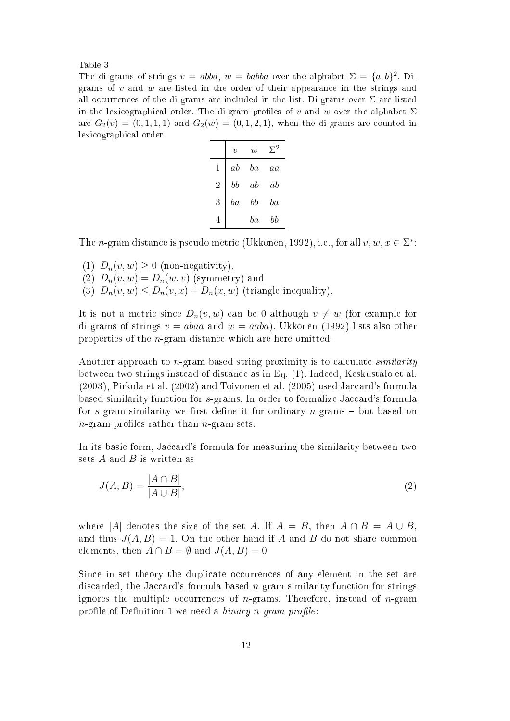Table 3

The di-grams of strings  $v = abba$ ,  $w = babba$  over the alphabet  $\Sigma = \{a, b\}^2$ . Digrams of  $v$  and  $w$  are listed in the order of their appearance in the strings and all occurrences of the di-grams are included in the list. Di-grams over  $\Sigma$  are listed in the lexicographical order. The di-gram profiles of v and w over the alphabet  $\Sigma$ are  $G_2(v) = (0, 1, 1, 1)$  and  $G_2(w) = (0, 1, 2, 1)$ , when the di-grams are counted in lexi
ographi
al order.

|   | $\boldsymbol{v}$ | w  | 2  |
|---|------------------|----|----|
| 1 | $_{ab}$          | ba | aa |
| 2 | bb               | ab | ab |
| 3 | $^{ba}$          | bb | ba |
| 4 |                  | ba | bb |

The *n*-gram distance is pseudo metric (Ukkonen, 1992), i.e., for all  $v, w, x \in \Sigma^*$ :

- (1)  $D_n(v, w) \geq 0$  (non-negativity),
- (2)  $D_n(v, w) = D_n(w, v)$  (symmetry) and
- (3)  $D_n(v, w) \leq D_n(v, x) + D_n(x, w)$  (triangle inequality).

It is not a metric since  $D_n(v, w)$  can be 0 although  $v \neq w$  (for example for di-grams of strings  $v = abaa$  and  $w = aaba$ ). Ukkonen (1992) lists also other properties of the n-gram distan
e whi
h are here omitted.

Another approach to  $n$ -gram based string proximity is to calculate *similarity* between two strings instead of distan
e as in Eq. (1). Indeed, Keskustalo et al.  $(2003)$ , Pirkola et al.  $(2002)$  and Toivonen et al.  $(2005)$  used Jaccard's formula based similarity function for s-grams. In order to formalize Jaccard's formula for s-gram similarity we first define it for ordinary  $n$ -grams  $-$  but based on  $n$ -gram profiles rather than  $n$ -gram sets.

In its basic form, Jaccard's formula for measuring the similarity between two sets  $A$  and  $B$  is written as

$$
J(A,B) = \frac{|A \cap B|}{|A \cup B|},\tag{2}
$$

where |A| denotes the size of the set A. If  $A = B$ , then  $A \cap B = A \cup B$ , and thus  $J(A, B) = 1$ . On the other hand if A and B do not share common elements, then  $A \cap B = \emptyset$  and  $J(A, B) = 0$ .

Since in set theory the duplicate occurrences of any element in the set are discarded, the Jaccard's formula based *n*-gram similarity function for strings ignores the multiple occurrences of  $n$ -grams. Therefore, instead of  $n$ -gram profile of Definition 1 we need a binary n-gram profile: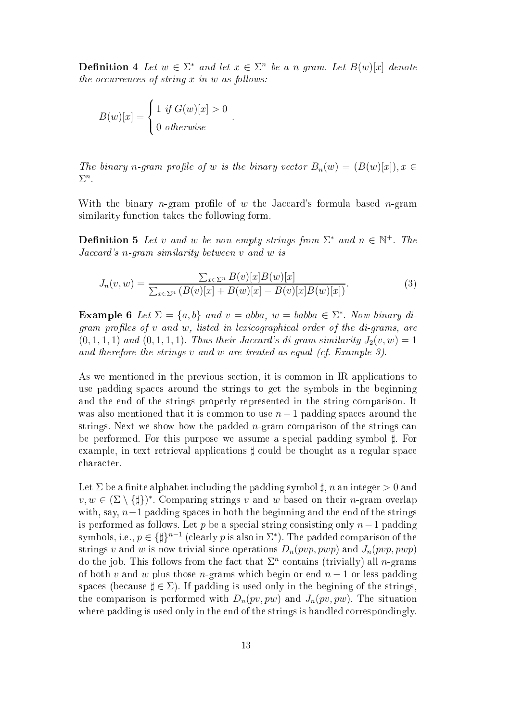**Definition 4** Let  $w \in \Sigma^*$  and let  $x \in \Sigma^n$  be a n-gram. Let  $B(w)[x]$  denote  $the\ occurrences\ of\ string\ x\ in\ w\ as\ follows:$ 

.

$$
B(w)[x] = \begin{cases} 1 & \text{if } G(w)[x] > 0 \\ 0 & \text{otherwise} \end{cases}
$$

The binary n-gram profile of w is the binary vector  $B_n(w) = (B(w)[x]), x \in$  $\Sigma^n$ .

With the binary *n*-gram profile of w the Jaccard's formula based *n*-gram similarity function takes the following form.

**Definition 5** Let v and w be non empty strings from  $\Sigma^*$  and  $n \in \mathbb{N}^+$ . The  $Jaccard$ 's n-gram similarity between  $v$  and  $w$  is

$$
J_n(v, w) = \frac{\sum_{x \in \Sigma^n} B(v)[x]B(w)[x]}{\sum_{x \in \Sigma^n} (B(v)[x] + B(w)[x] - B(v)[x]B(w)[x])}.
$$
\n(3)

**Example 6** Let  $\Sigma = \{a, b\}$  and  $v = abba$ ,  $w = babba \in \Sigma^*$ . Now binary di $gamma$  profiles of  $v$  and  $w$ , listed in lexicographical order of the di-grams, are  $(0, 1, 1, 1)$  and  $(0, 1, 1, 1)$ . Thus their Jaccard's di-gram similarity  $J_2(v, w) = 1$ and therefore the strings v and w are treated as equal (cf. Example 3).

As we mentioned in the previous section, it is common in IR applications to use padding spa
es around the strings to get the symbols in the beginning and the end of the strings properly represented in the string omparison. It was also mentioned that it is common to use  $n-1$  padding spaces around the strings. Next we show how the padded *n*-gram comparison of the strings can be performed. For this purpose we assume a special padding symbol  $\sharp$ . For example, in text retrieval applications  $\sharp$  could be thought as a regular space hara
ter.

Let  $\Sigma$  be a finite alphabet including the padding symbol  $\sharp$ , n an integer  $>0$  and  $v, w \in (\Sigma \setminus {\{\sharp}\})^*$ . Comparing strings v and w based on their n-gram overlap with, say,  $n-1$  padding spaces in both the beginning and the end of the strings is performed as follows. Let p be a special string consisting only  $n-1$  padding symbols, i.e.,  $p \in {\{\nparallel}^{n-1}}$  (clearly  $p$  is also in  $\Sigma^*$ ). The padded comparison of the strings v and w is now trivial since operations  $D_n(pvp, pwp)$  and  $J_n(pvp, pwp)$ do the job. This follows from the fact that  $\Sigma<sup>n</sup>$  contains (trivially) all *n*-grams of both v and w plus those n-grams which begin or end  $n-1$  or less padding spaces (because  $\sharp \in \Sigma$ ). If padding is used only in the begining of the strings, the comparison is performed with  $D_n(pv, pw)$  and  $J_n(pv, pw)$ . The situation where padding is used only in the end of the strings is handled correspondingly.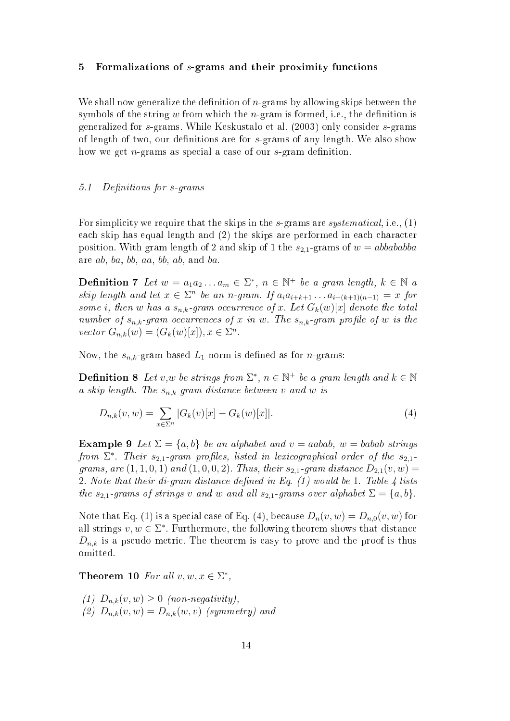## 5 Formalizations of s-grams and their proximity functions

We shall now generalize the definition of  $n$ -grams by allowing skips between the symbols of the string  $w$  from which the *n*-gram is formed, i.e., the definition is generalized for s-grams. While Keskustalo et al. (2003) only onsider s-grams of length of two, our definitions are for  $s$ -grams of any length. We also show how we get  $n$ -grams as special a case of our  $s$ -gram definition.

#### 5.1Definitions for s-grams

For simplicity we require that the skips in the s-grams are *systematical*, i.e.,  $(1)$ each skip has equal length and (2) the skips are performed in each character position. With gram length of 2 and skip of 1 the  $s_{2,1}$ -grams of  $w = abbababba$ are ab, ba, bb, aa, bb, ab, and ba.

**Definition 7** Let  $w = a_1 a_2 ... a_m \in \Sigma^*$ ,  $n \in \mathbb{N}^+$  be a gram length,  $k \in \mathbb{N}$  a skip length and let  $x \in \Sigma^n$  be an n-gram. If  $a_i a_{i+k+1} \ldots a_{i+(k+1)(n-1)} = x$  for some i, then  $w$  has a  $s_{n,k}$ -gram occurrence of  $x$ . Let  $G_k(w)[x]$  denote the total number of  $s_{n,k}$ -gram occurrences of x in w. The  $s_{n,k}$ -gram profile of w is the vector  $G_{n,k}(w) = (G_k(w)[x]), x \in \Sigma^n$ .

Now, the  $s_{n,k}$ -gram based  $L_1$  norm is defined as for *n*-grams:

**Definition 8** Let v,w be strings from  $\Sigma^*$ ,  $n \in \mathbb{N}^+$  be a gram length and  $k \in \mathbb{N}$ a skip length. The  $s_{n,k}$ -gram distance between v and w is

$$
D_{n,k}(v,w) = \sum_{x \in \Sigma^n} |G_k(v)[x] - G_k(w)[x]|.
$$
\n(4)

**Example 9** Let  $\Sigma = \{a, b\}$  be an alphabet and  $v = aabab$ ,  $w = babab$  strings from  $\Sigma^*$ . Their  $s_{2,1}$ -gram profiles, listed in lexicographical order of the  $s_{2,1}$ grams, are  $(1, 1, 0, 1)$  and  $(1, 0, 0, 2)$ . Thus, their  $s_{2,1}$ -gram distance  $D_{2,1}(v, w) =$ 2. Note that their di-gram distance defined in Eq.  $(1)$  would be 1. Table 4 lists the  $s_{2,1}$ -grams of strings v and w and all  $s_{2,1}$ -grams over alphabet  $\Sigma = \{a, b\}$ .

Note that Eq. (1) is a special case of Eq. (4), because  $D_n(v, w) = D_{n,0}(v, w)$  for all strings  $v, w \in \Sigma^*$ . Furthermore, the following theorem shows that distance  $D_{n,k}$  is a pseudo metric. The theorem is easy to prove and the proof is thus omitted.

Theorem 10 For all  $v, w, x \in \Sigma^*$ ,

(1)  $D_{n,k}(v, w) \geq 0$  (non-negativity), (2)  $D_{n,k}(v, w) = D_{n,k}(w, v)$  (symmetry) and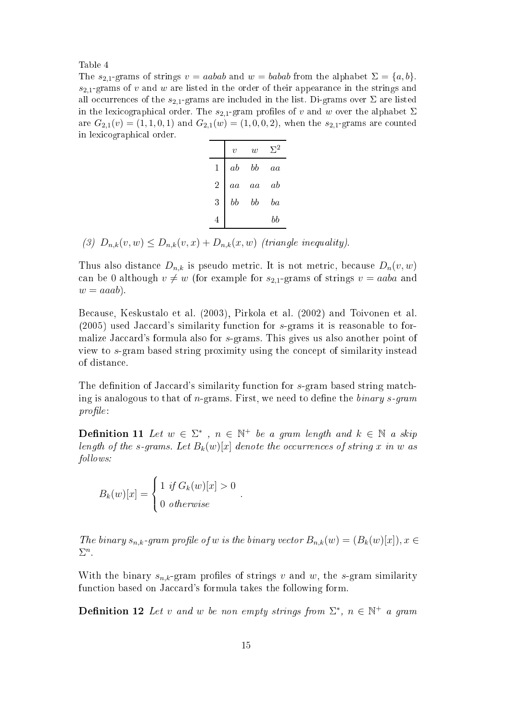Table 4

The  $s_{2,1}$ -grams of strings  $v = aabab$  and  $w = babab$  from the alphabet  $\Sigma = \{a, b\}$ .  $s_{2,1}$ -grams of v and w are listed in the order of their appearance in the strings and all occurrences of the  $s_{2,1}$ -grams are included in the list. Di-grams over  $\Sigma$  are listed in the lexicographical order. The  $s_{2,1}$ -gram profiles of v and w over the alphabet  $\Sigma$ are  $G_{2,1}(v) = (1, 1, 0, 1)$  and  $G_{2,1}(w) = (1, 0, 0, 2)$ , when the  $s_{2,1}$ -grams are counted in lexi
ographi
al order.

|                | $\boldsymbol{v}$ | w  | $\Sigma^2$ |
|----------------|------------------|----|------------|
| 1              | ab               | bb | $^{aa}$    |
| $\overline{2}$ | aa               | aa | ab         |
| 3              | bb               | bb | ba         |
| 4              |                  |    | bb         |

(3)  $D_{n,k}(v, w) \leq D_{n,k}(v, x) + D_{n,k}(x, w)$  (triangle inequality).

Thus also distance  $D_{n,k}$  is pseudo metric. It is not metric, because  $D_n(v, w)$ can be 0 although  $v \neq w$  (for example for  $s_{2,1}$ -grams of strings  $v = aaba$  and  $w = aaab$ ).

Because, Keskustalo et al. (2003), Pirkola et al. (2002) and Toivonen et al.  $(2005)$  used Jaccard's similarity function for s-grams it is reasonable to formalize Jaccard's formula also for s-grams. This gives us also another point of view to s-gram based string proximity using the on
ept of similarity instead of distan
e.

The definition of Jaccard's similarity function for s-gram based string matching is analogous to that of *n*-grams. First, we need to define the *binary s-gram*  $profile$ :

**Definition 11** Let  $w \in \Sigma^*$ ,  $n \in \mathbb{N}^+$  be a gram length and  $k \in \mathbb{N}$  a skip length of the s-grams. Let  $B_k(w)[x]$  denote the occurrences of string  $x$  in  $w$  as fol lows:

.

 $B_k(w)[x] =$  $\sqrt{ }$  $\int$  $\mathcal{L}$ 1 if  $G_k(w)[x] > 0$ 0 otherwise

The binary  $s_{n,k}$ -gram profile of w is the binary vector  $B_{n,k}(w) = (B_k(w)[x])$ ,  $x \in$  $\Sigma^n$ .

With the binary  $s_{n,k}$ -gram profiles of strings v and w, the s-gram similarity function based on Jaccard's formula takes the following form.

**Definition 12** Let v and w be non empty strings from  $\Sigma^*$ ,  $n \in \mathbb{N}^+$  a gram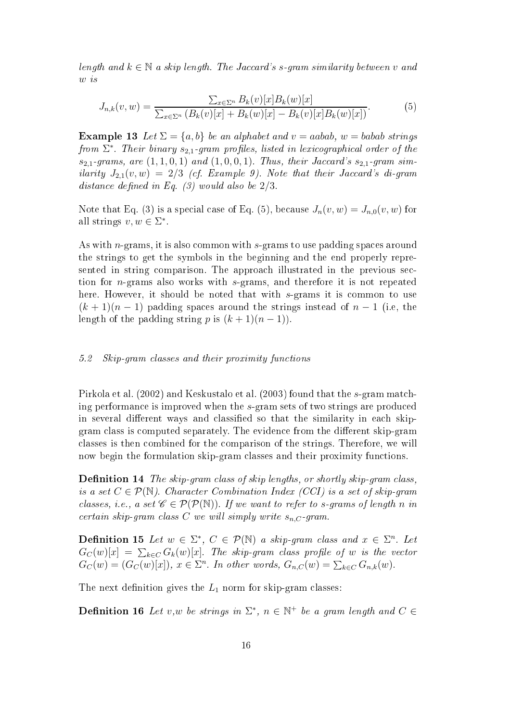length and  $k \in \mathbb{N}$  a skip length. The Jaccard's s-gram similarity between v and w is

$$
J_{n,k}(v,w) = \frac{\sum_{x \in \Sigma^n} B_k(v)[x]B_k(w)[x]}{\sum_{x \in \Sigma^n} (B_k(v)[x] + B_k(w)[x] - B_k(v)[x]B_k(w)[x])}.
$$
(5)

**Example 13** Let  $\Sigma = \{a, b\}$  be an alphabet and  $v = aabab$ ,  $w = babab$  strings from  $\Sigma^*$ . Their binary  $s_{2,1}$ -gram profiles, listed in lexicographical order of the  $s_{2,1}$ -grams, are  $(1,1,0,1)$  and  $(1,0,0,1)$ . Thus, their Jaccard's  $s_{2,1}$ -gram similarity  $J_{2,1}(v, w) = 2/3$  (cf. Example 9). Note that their Jaccard's di-gram distance defined in Eq.  $(3)$  would also be  $2/3$ .

Note that Eq. (3) is a special case of Eq. (5), because  $J_n(v, w) = J_{n,0}(v, w)$  for all strings  $v, w \in \Sigma^*$ .

As with *n*-grams, it is also common with s-grams to use padding spaces around the strings to get the symbols in the beginning and the end properly represented in string comparison. The approach illustrated in the previous section for n-grams also works with s-grams, and therefore it is not repeated here. However, it should be noted that with s-grams it is common to use  $(k+1)(n-1)$  padding spaces around the strings instead of  $n-1$  (i.e., the length of the padding string p is  $(k + 1)(n - 1)$ .

#### 5.2Skip-gram classes and their proximity functions

Pirkola et al. (2002) and Keskustalo et al. (2003) found that the s-gram matching performan
e is improved when the s-gram sets of two strings are produ
ed in several different ways and classified so that the similarity in each skipgram class is computed separately. The evidence from the different skip-gram lasses is then ombined for the omparison of the strings. Therefore, we will now begin the formulation skip-gram classes and their proximity functions.

**Definition 14** The skip-gram class of skip lengths, or shortly skip-gram class, is a set  $C \in \mathcal{P}(\mathbb{N})$ . Character Combination Index (CCI) is a set of skip-gram classes, i.e., a set  $\mathscr{C} \in \mathcal{P}(\mathcal{P}(\mathbb{N}))$ . If we want to refer to s-grams of length n in certain skip-gram class C we will simply write  $s_{n,C}$ -gram.

**Definition 15** Let  $w \in \Sigma^*$ ,  $C \in \mathcal{P}(\mathbb{N})$  a skip-gram class and  $x \in \Sigma^n$ . Let  $G_C(w)[x] \ = \ \sum_{k \in C} G_k(w)[x].$  The skip-gram class profile of  $w$  is the vector  $G_C(w) = (G_C(w)[x]), x \in \Sigma<sup>n</sup>.$  In other words,  $G_{n,C}(w) = \sum_{k \in C} G_{n,k}(w)$ .

The next definition gives the  $L_1$  norm for skip-gram classes:

**Definition 16** Let v,w be strings in  $\Sigma^*$ ,  $n \in \mathbb{N}^+$  be a gram length and  $C \in$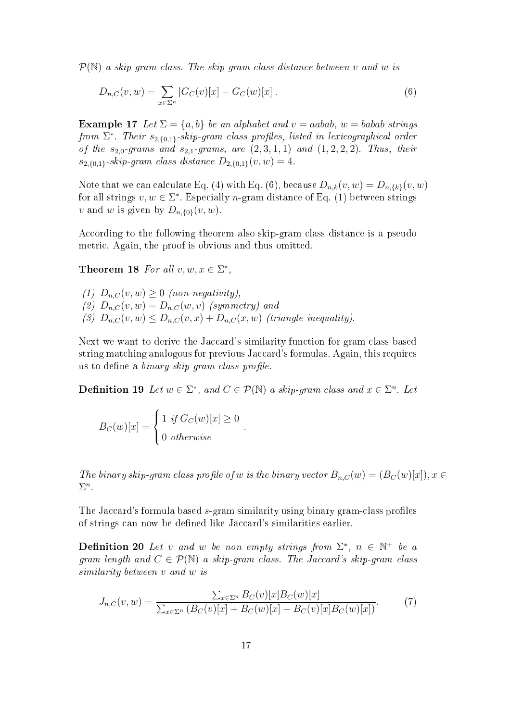$\mathcal{P}(\mathbb{N})$  a skip-gram class. The skip-gram class distance between v and w is

$$
D_{n,C}(v,w) = \sum_{x \in \Sigma^n} |G_C(v)[x] - G_C(w)[x]|.
$$
\n(6)

**Example 17** Let  $\Sigma = \{a, b\}$  be an alphabet and  $v = aabab$ ,  $w = babab$  strings from  $\Sigma^*$ . Their  $s_{2,\{0,1\}}$ -skip-gram class profiles, listed in lexicographical order of the  $s_{2,0}$ -grams and  $s_{2,1}$ -grams, are  $(2,3,1,1)$  and  $(1,2,2,2)$ . Thus, their  $s_{2,\{0,1\}}$ -skip-gram class distance  $D_{2,\{0,1\}}(v, w) = 4$ .

Note that we can calculate Eq. (4) with Eq. (6), because  $D_{n,k}(v,w) = D_{n,\{k\}}(v,w)$ for all strings  $v, w \in \Sigma^*$ . Especially *n*-gram distance of Eq. (1) between strings v and w is given by  $D_{n,\{0\}}(v, w)$ .

According to the following theorem also skip-gram class distance is a pseudo metri
. Again, the proof is obvious and thus omitted.

Theorem 18 For all  $v, w, x \in \Sigma^*$ ,

(1)  $D_{n,C}(v, w) \geq 0$  (non-negativity), (2)  $D_{n,C}(v, w) = D_{n,C}(w, v)$  (symmetry) and (3)  $D_{n,C}(v, w) \leq D_{n,C}(v, x) + D_{n,C}(x, w)$  (triangle inequality).

Next we want to derive the Jaccard's similarity function for gram class based string matching analogous for previous Jaccard's formulas. Again, this requires us to define a *binary skip-gram class profile*.

**Definition 19** Let  $w \in \Sigma^*$ , and  $C \in \mathcal{P}(\mathbb{N})$  a skip-gram class and  $x \in \Sigma^n$ . Let

.

$$
B_C(w)[x] = \begin{cases} 1 & \text{if } G_C(w)[x] \ge 0\\ 0 & \text{otherwise} \end{cases}
$$

The binary skip-gram class profile of w is the binary vector  $B_{n,C}(w) = (B_C(w)[x])$ ,  $x \in$  $\Sigma^n$ .

The Jaccard's formula based s-gram similarity using binary gram-class profiles of strings can now be defined like Jaccard's similarities earlier.

**Definition 20** Let v and w be non empty strings from  $\Sigma^*$ ,  $n \in \mathbb{N}^+$  be a gram length and  $C \in \mathcal{P}(\mathbb{N})$  a skip-gram class. The Jaccard's skip-gram class similarity between v and w is

$$
J_{n,C}(v,w) = \frac{\sum_{x \in \Sigma^n} B_C(v)[x]B_C(w)[x]}{\sum_{x \in \Sigma^n} (B_C(v)[x] + B_C(w)[x] - B_C(v)[x]B_C(w)[x]}.
$$
 (7)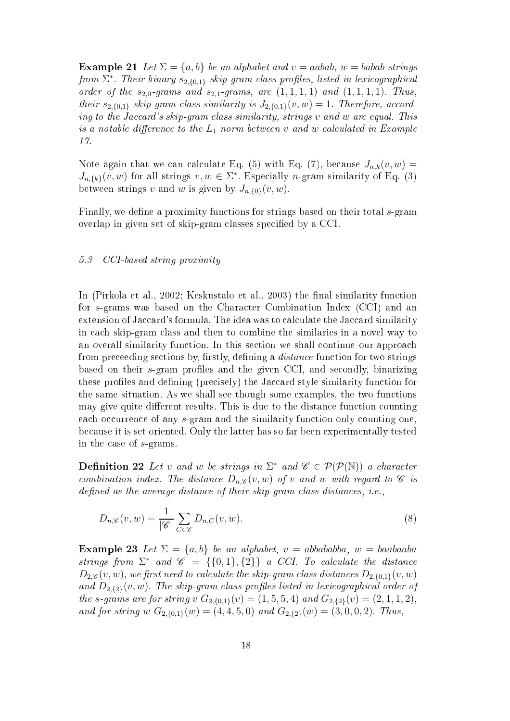**Example 21** Let  $\Sigma = \{a, b\}$  be an alphabet and  $v = aabab$ ,  $w = babab$  strings from  $\Sigma^*$ . Their binary  $s_{2,\{0,1\}}$ -skip-gram class profiles, listed in lexicographical order of the  $s_{2,0}$ -grams and  $s_{2,1}$ -grams, are  $(1,1,1,1)$  and  $(1,1,1,1)$ . Thus, their  $s_{2,\{0,1\}}$ -skip-gram class similarity is  $J_{2,\{0,1\}}(v,w) = 1$ . Therefore, according to the Jaccard's skip-gram class similarity, strings v and w are equal. This is a notable difference to the  $L_1$  norm between  $v$  and  $w$  calculated in Example

Note again that we can calculate Eq. (5) with Eq. (7), because  $J_{n,k}(v, w) =$  $J_{n,\{k\}}(v, w)$  for all strings  $v, w \in \Sigma^*$ . Especially *n*-gram similarity of Eq. (3) between strings v and w is given by  $J_{n,\{0\}}(v,w)$ .

Finally, we define a proximity functions for strings based on their total s-gram overlap in given set of skip-gram classes specified by a CCI.

#### 5.3CCI-based string proximity

In (Pirkola et al., 2002; Keskustalo et al., 2003) the final similarity function for s-grams was based on the Character Combination Index (CCI) and an extension of Jaccard's formula. The idea was to calculate the Jaccard similarity in ea
h skip-gram lass and then to ombine the similaries in a novel way to an overall similarity function. In this section we shall continue our approach from preceeding sections by, firstly, defining a *distance* function for two strings based on their s-gram profiles and the given CCI, and secondly, binarizing these profiles and defining (precisely) the Jaccard style similarity function for the same situation. As we shall see though some examples, the two fun
tions may give quite different results. This is due to the distance function counting each occurrence of any s-gram and the similarity function only counting one, be
ause it is set oriented. Only the latter has so far been experimentally tested in the ase of s-grams.

**Definition 22** Let v and w be strings in  $\Sigma^*$  and  $\mathscr{C} \in \mathcal{P}(\mathcal{P}(\mathbb{N}))$  a character combination index. The distance  $D_{n,\mathscr{C}}(v,w)$  of v and w with regard to  $\mathscr C$  is as the assessment as the standard contract of the standard state of the state of the state of the state of the

$$
D_{n,\mathscr{C}}(v,w) = \frac{1}{|\mathscr{C}|} \sum_{C \in \mathscr{C}} D_{n,C}(v,w). \tag{8}
$$

Example 23 Let  $\Sigma = \{a, b\}$  be an alphabet,  $v = abbababba$ ,  $w = baabaaba$ strings from  $\Sigma^*$  and  $\mathscr{C} = {\{0,1\},\{2\}}$  a CCI. To calculate the distance  $D_{2,\mathscr{C}}(v,w)$ , we first need to calculate the skip-gram class distances  $D_{2,\{0,1\}}(v,w)$ and  $D_{2,\{2\}}(v,w)$ . The skip-gram class profiles listed in lexicographical order of the s-grams are for string v  $G_{2,\{0,1\}}(v) = (1, 5, 5, 4)$  and  $G_{2,\{2\}}(v) = (2, 1, 1, 2)$ , and for string w  $G_{2,\{0,1\}}(w) = (4,4,5,0)$  and  $G_{2,\{2\}}(w) = (3,0,0,2)$ . Thus,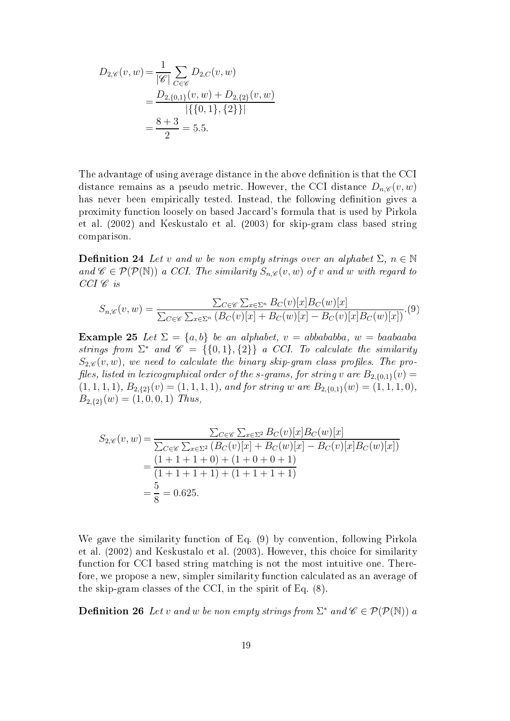$$
D_{2,\mathscr{C}}(v,w) = \frac{1}{|\mathscr{C}|} \sum_{C \in \mathscr{C}} D_{2,C}(v,w)
$$
  
= 
$$
\frac{D_{2,\{0,1\}}(v,w) + D_{2,\{2\}}(v,w)}{|\{\{0,1\},\{2\}\}|}
$$
  
= 
$$
\frac{8+3}{2} = 5.5.
$$

The advantage of using average distance in the above definition is that the CCI distance remains as a pseudo metric. However, the CCI distance  $D_{n,\mathscr{C}}(v,w)$ has never been empirically tested. Instead, the following definition gives a proximity function loosely on based Jaccard's formula that is used by Pirkola et al. (2002) and Keskustalo et al. (2003) for skip-gram lass based string omparison.

**Definition 24** Let v and w be non empty strings over an alphabet  $\Sigma$ ,  $n \in \mathbb{N}$ and  $\mathscr{C} \in \mathcal{P}(\mathcal{P}(\mathbb{N}))$  a CCI. The similarity  $S_{n,\mathscr{C}}(v,w)$  of v and w with regard to  $CCI \mathscr{C}$  is

$$
S_{n,\mathscr{C}}(v,w) = \frac{\sum_{C \in \mathscr{C}} \sum_{x \in \Sigma^n} B_C(v)[x]B_C(w)[x]}{\sum_{C \in \mathscr{C}} \sum_{x \in \Sigma^n} (B_C(v)[x] + B_C(w)[x] - B_C(v)[x]B_C(w)[x])}.\tag{9}
$$

Example 25 Let  $\Sigma = \{a, b\}$  be an alphabet,  $v = abbababba$ ,  $w = baabaaba$ strings from  $\Sigma^*$  and  $\mathscr{C} = \{ \{0,1\}, \{2\} \}$  a CCI. To calculate the similarity  $S_{2\mathcal{C}}(v, w)$ , we need to calculate the binary skip-gram class profiles. The profiles, listed in lexicographical order of the s-grams, for string  $v$  are  $B_{2,\{0,1\}}(v) =$  $(1, 1, 1, 1), B_{2, {52}}(v) = (1, 1, 1, 1), and for string w are B_{2, {6, 1}}(w) = (1, 1, 1, 0),$  $B_{2,\lbrace 2\rbrace}(w) = (1,0,0,1)$  Thus,

$$
S_{2,\mathscr{C}}(v,w) = \frac{\sum_{C \in \mathscr{C}} \sum_{x \in \Sigma^2} B_C(v)[x]B_C(w)[x]}{\sum_{C \in \mathscr{C}} \sum_{x \in \Sigma^2} (B_C(v)[x] + B_C(w)[x] - B_C(v)[x]B_C(w)[x])}
$$
  
= 
$$
\frac{(1+1+1+0) + (1+0+0+1)}{(1+1+1+1) + (1+1+1+1)}
$$
  
= 
$$
\frac{5}{8} = 0.625.
$$

We gave the similarity function of Eq. (9) by convention, following Pirkola et al. (2002) and Keskustalo et al. (2003). However, this hoi
e for similarity function for CCI based string matching is not the most intuitive one. Therefore, we propose a new, simpler similarity function calculated as an average of the skip-gram lasses of the CCI, in the spirit of Eq. (8).

**Definition 26** Let v and w be non empty strings from  $\Sigma^*$  and  $\mathscr{C} \in \mathcal{P}(\mathcal{P}(\mathbb{N}))$  a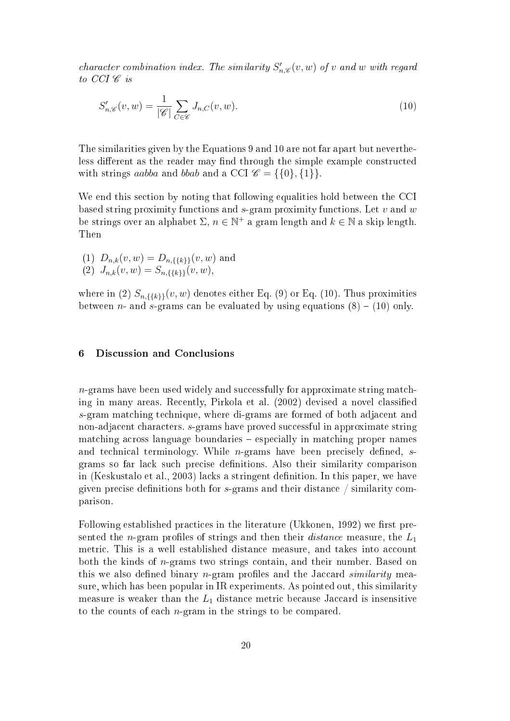character combination index. The similarity  $S'_{n,\mathscr{C}}(v,w)$  of v and w with regard to  $CCI \mathscr{C}$  is

$$
S'_{n,\mathscr{C}}(v,w) = \frac{1}{|\mathscr{C}|} \sum_{C \in \mathscr{C}} J_{n,C}(v,w). \tag{10}
$$

The similarities given by the Equations 9 and 10 are not far apart but nevertheless different as the reader may find through the simple example constructed with strings aabba and bbab and a CCI  $\mathcal{C} = \{\{0\}, \{1\}\}.$ 

We end this section by noting that following equalities hold between the CCI based string proximity functions and  $s$ -gram proximity functions. Let  $v$  and  $w$ be strings over an alphabet  $\Sigma$ ,  $n \in \mathbb{N}^+$  a gram length and  $k \in \mathbb{N}$  a skip length. Then

(1)  $D_{n,k}(v, w) = D_{n,\{\{k\}\}}(v, w)$  and (2)  $J_{n,k}(v, w) = S_{n,\{\{k\}\}}(v, w),$ 

where in (2)  $S_{n,\{\{k\}\}}(v, w)$  denotes either Eq. (9) or Eq. (10). Thus proximities between *n*- and *s*-grams can be evaluated by using equations  $(8) - (10)$  only.

#### 6 Discussion and Conclusions

 $n$ -grams have been used widely and successfully for approximate string matching in many areas. Recently, Pirkola et al. (2002) devised a novel classified s-gram mat
hing te
hnique, where di-grams are formed of both adja
ent and non-adja
ent hara
ters. s-grams have proved su

essful in approximate string mat
hing a
ross language boundaries espe
ially in mat
hing proper names and technical terminology. While  $n$ -grams have been precisely defined, sgrams so far lack such precise definitions. Also their similarity comparison in (Keskustalo et al., 2003) lacks a stringent definition. In this paper, we have given precise definitions both for  $s$ -grams and their distance / similarity comparison.

Following established practices in the literature (Ukkonen, 1992) we first presented the *n*-gram profiles of strings and then their *distance* measure, the  $L_1$ metric. This is a well established distance measure, and takes into account both the kinds of *n*-grams two strings contain, and their number. Based on this we also defined binary  $n$ -gram profiles and the Jaccard similarity measure, whi
h has been popular in IR experiments. As pointed out, this similarity measure is weaker than the  $L_1$  distance metric because Jaccard is insensitive to the counts of each *n*-gram in the strings to be compared.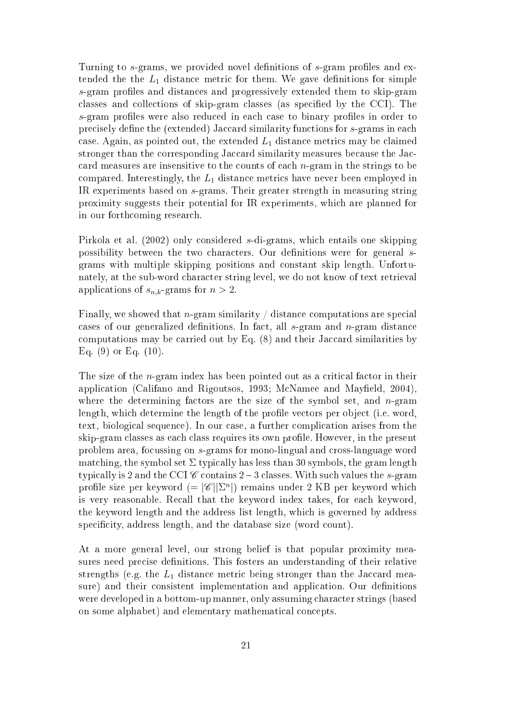Turning to s-grams, we provided novel definitions of s-gram profiles and extended the the  $L_1$  distance metric for them. We gave definitions for simple s-gram profiles and distances and progressively extended them to skip-gram classes and collections of skip-gram classes (as specified by the CCI). The s-gram profiles were also reduced in each case to binary profiles in order to precisely define the (extended) Jaccard similarity functions for s-grams in each case. Again, as pointed out, the extended  $L_1$  distance metrics may be claimed stronger than the corresponding Jaccard similarity measures because the Jaccard measures are insensitive to the counts of each  $n$ -gram in the strings to be compared. Interestingly, the  $L_1$  distance metrics have never been employed in IR experiments based on s-grams. Their greater strength in measuring string proximity suggests their potential for IR experiments, whi
h are planned for in our forth
oming resear
h.

Pirkola et al. (2002) only onsidered s-di-grams, whi
h entails one skipping possibility between the two characters. Our definitions were for general sgrams with multiple skipping positions and onstant skip length. Unfortunately, at the sub-word hara
ter string level, we do not know of text retrieval applications of  $s_{n,k}$ -grams for  $n > 2$ .

Finally, we showed that *n*-gram similarity  $\int$  distance computations are special cases of our generalized definitions. In fact, all  $s$ -gram and  $n$ -gram distance computations may be carried out by Eq.  $(8)$  and their Jaccard similarities by Eq.  $(9)$  or Eq.  $(10)$ .

The size of the  $n$ -gram index has been pointed out as a critical factor in their application (Califano and Rigoutsos, 1993; McNamee and Mayfield, 2004), where the determining factors are the size of the symbol set, and  $n$ -gram length, which determine the length of the profile vectors per object (i.e. word, text, biological sequence). In our case, a further complication arises from the skip-gram classes as each class requires its own profile. However, in the present problem area, focussing on s-grams for mono-lingual and cross-language word matching, the symbol set  $\Sigma$  typically has less than 30 symbols, the gram length typically is 2 and the CCI  $\mathscr C$  contains 2 – 3 classes. With such values the s-gram profile size per keyword  $(=|\mathscr{C}| | \Sigma^n|)$  remains under 2 KB per keyword which is very reasonable. Recall that the keyword index takes, for each keyword, the keyword length and the address list length, whi
h is governed by address specificity, address length, and the database size (word count).

At a more general level, our strong belief is that popular proximity measures need precise definitions. This fosters an understanding of their relative strengths (e.g. the  $L_1$  distance metric being stronger than the Jaccard measure) and their consistent implementation and application. Our definitions were developed in a bottom-up manner, only assuming hara
ter strings (based on some alphabet) and elementary mathematical concepts.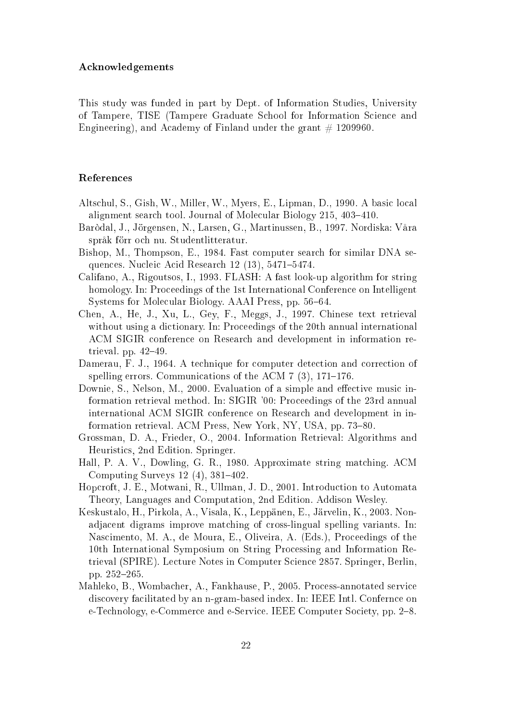## A
knowledgements

This study was funded in part by Dept. of Information Studies, University of Tampere, TISE (Tampere Graduate S
hool for Information S
ien
e and Engineering), and Academy of Finland under the grant  $\#$  1209960.

## Referen
es

- Altschul, S., Gish, W., Miller, W., Myers, E., Lipman, D., 1990. A basic local alignment search tool. Journal of Molecular Biology 215, 403–410.
- Baròdal, J., Jörgensen, N., Larsen, G., Martinussen, B., 1997. Nordiska: Våra språk förr o
h nu. Studentlitteratur.
- Bishop, M., Thompson, E., 1984. Fast omputer sear
h for similar DNA sequences. Nucleic Acid Research 12 (13), 5471-5474.
- Califano, A., Rigoutsos, I., 1993. FLASH: A fast look-up algorithm for string homology. In: Proceedings of the 1st International Conference on Intelligent Systems for Molecular Biology. AAAI Press, pp. 56–64.
- Chen, A., He, J., Xu, L., Gey, F., Meggs, J., 1997. Chinese text retrieval without using a dictionary. In: Proceedings of the 20th annual international ACM SIGIR onferen
e on Resear
h and development in information retrieval. pp.  $42-49$ .
- Damerau, F. J., 1964. A technique for computer detection and correction of spelling errors. Communications of the ACM  $7(3)$ , 171–176.
- Downie, S., Nelson, M., 2000. Evaluation of a simple and effective music information retrieval method. In: SIGIR '00: Pro
eedings of the 23rd annual international ACM SIGIR onferen
e on Resear
h and development in information retrieval. ACM Press, New York, NY, USA, pp. 73-80.
- Grossman, D. A., Frieder, O., 2004. Information Retrieval: Algorithms and Heuristi
s, 2nd Edition. Springer.
- Hall, P. A. V., Dowling, G. R., 1980. Approximate string matching. ACM Computing Surveys  $12(4)$ ,  $381-402$ .
- Hopcroft, J. E., Motwani, R., Ullman, J. D., 2001. Introduction to Automata Theory, Languages and Computation, 2nd Edition. Addison Wesley.
- Keskustalo, H., Pirkola, A., Visala, K., Leppänen, E., Järvelin, K., 2003. Nonadja
ent digrams improve mat
hing of ross-lingual spelling variants. In: Nascimento, M. A., de Moura, E., Oliveira, A. (Eds.), Proceedings of the 10th International Symposium on String Pro
essing and Information Retrieval (SPIRE). Le
ture Notes in Computer S
ien
e 2857. Springer, Berlin, pp. 252–265.
- Mahleko, B., Wombacher, A., Fankhause, P., 2005. Process-annotated service discovery facilitated by an n-gram-based index. In: IEEE Intl. Confernce on e-Technology, e-Commerce and e-Service. IEEE Computer Society, pp. 2-8.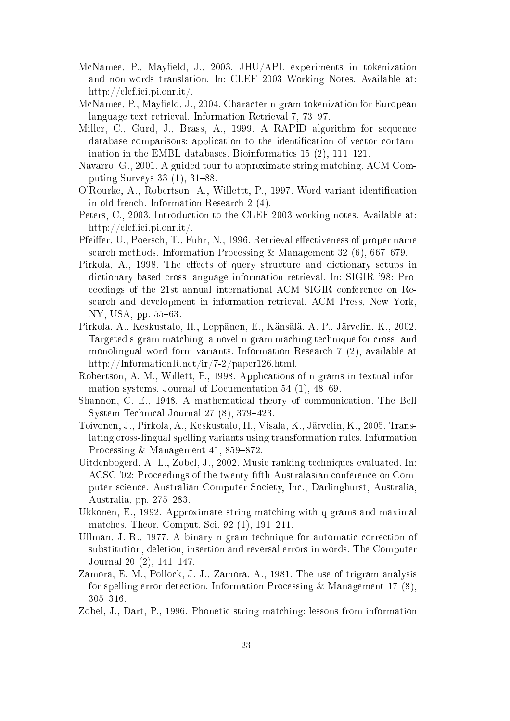- McNamee, P., Mayfield, J., 2003. JHU/APL experiments in tokenization and non-words translation. In: CLEF 2003 Working Notes. Available at: http://
lef.iei.pi.
nr.it/.
- McNamee, P., Mayfield, J., 2004. Character n-gram tokenization for European language text retrieval. Information Retrieval 7, 73-97.
- Miller, C., Gurd, J., Brass, A., 1999. A RAPID algorithm for sequence database comparisons: application to the identification of vector contamination in the EMBL databases. Bioinformatics  $15(2)$ ,  $111-121$ .
- Navarro, G., 2001. A guided tour to approximate string matching. ACM Computing Surveys  $33(1)$ ,  $31-88$ .
- O'Rourke, A., Robertson, A., Willettt, P., 1997. Word variant identification in old fren
h. Information Resear
h 2 (4).
- Peters, C., 2003. Introduction to the CLEF 2003 working notes. Available at: http://
lef.iei.pi.
nr.it/.
- Pfeiffer, U., Poersch, T., Fuhr, N., 1996. Retrieval effectiveness of proper name search methods. Information Processing & Management 32 (6), 667–679.
- Pirkola, A., 1998. The effects of query structure and dictionary setups in dictionary-based cross-language information retrieval. In: SIGIR '98: Proeedings of the 21st annual international ACM SIGIR onferen
e on Resear
h and development in information retrieval. ACM Press, New York, NY, USA, pp. 55–63.
- Pirkola, A., Keskustalo, H., Leppänen, E., Känsälä, A. P., Järvelin, K., 2002. Targeted s-gram matching: a novel n-gram maching technique for cross- and monolingual word form variants. Information Resear
h 7 (2), available at http://InformationR.net/ir/7-2/paper126.html.
- Robertson, A. M., Willett, P., 1998. Appli
ations of n-grams in textual information systems. Journal of Documentation  $54$  (1),  $48-69$ .
- Shannon, C. E., 1948. A mathematical theory of communication. The Bell System Technical Journal  $27(8)$ ,  $379-423$ .
- Toivonen, J., Pirkola, A., Keskustalo, H., Visala, K., Järvelin, K., 2005. Translating ross-lingual spelling variants using transformation rules. Information Processing & Management 41, 859-872.
- Uitdenbogerd, A. L., Zobel, J., 2002. Music ranking techniques evaluated. In: ACSC '02: Proceedings of the twenty-fifth Australasian conference on Computer s
ien
e. Australian Computer So
iety, In
., Darlinghurst, Australia, Australia, pp.  $275-283$ .
- Ukkonen, E., 1992. Approximate string-matching with q-grams and maximal matches. Theor. Comput. Sci. 92 (1), 191-211.
- Ullman, J. R., 1977. A binary n-gram technique for automatic correction of substitution, deletion, insertion and reversal errors in words. The Computer Journal 20 $(2)$ , 141-147.
- Zamora, E. M., Pollo
k, J. J., Zamora, A., 1981. The use of trigram analysis for spelling error detection. Information Processing & Management 17  $(8)$ , 305316.
- Zobel, J., Dart, P., 1996. Phonetic string matching: lessons from information